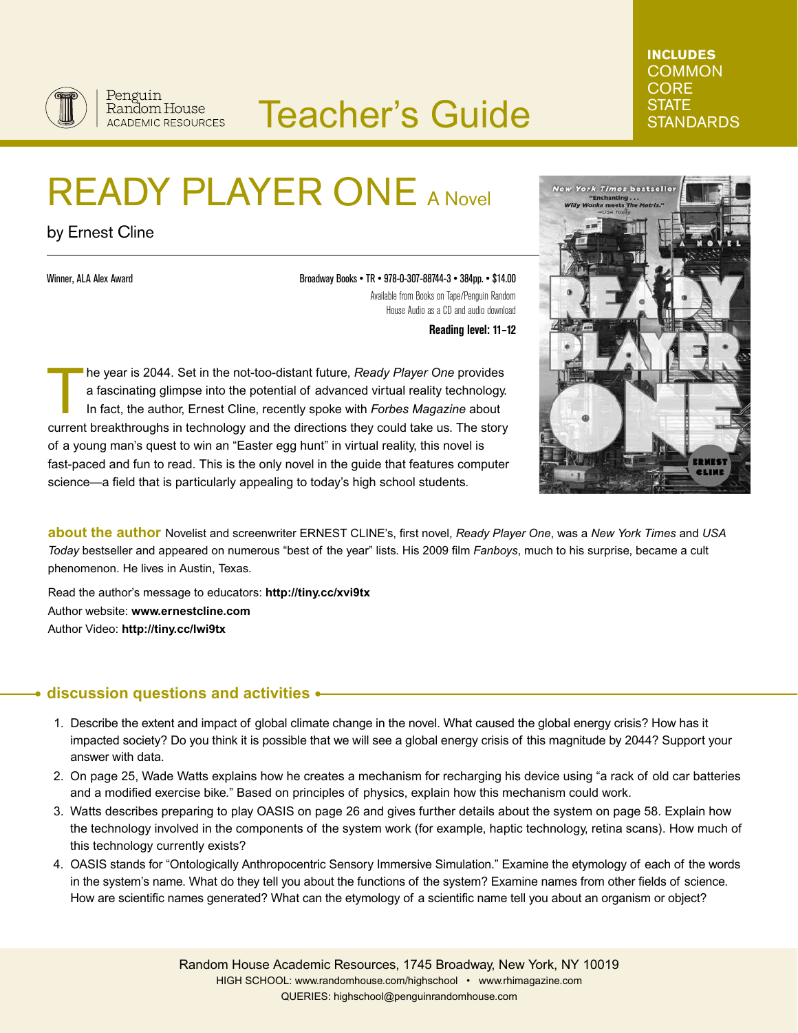

## Teacher's Guide

# READY PLAYER ONE A Novel

by Ernest Cline

Winner, ALA Alex Award

Broadway Books • TR • 978-0-307-88744-3 • 384pp. • \$14.00 Available from Books on Tape/Penguin Random House Audio as a CD and audio download

**Reading level: 11–12**

he year is 2044. Set in the not-too-distant future, *Ready Player One* provides a fascinating glimpse into the potential of advanced virtual reality technology. In fact, the author, Ernest Cline, recently spoke with *Forbes Magazine* about current breakthroughs in technology and the directions they could take us. The story of a young man's quest to win an "Easter egg hunt" in virtual reality, this novel is fast-paced and fun to read. This is the only novel in the guide that features computer science—a field that is particularly appealing to today's high school students.



**INCLUDES COMMON CORE STATE** 

**STANDARDS** 

**about the author** Novelist and screenwriter ERNEST CLINE's, first novel, *Ready Player One*, was a *New York Times* and *USA Today* bestseller and appeared on numerous "best of the year" lists. His 2009 film *Fanboys*, much to his surprise, became a cult phenomenon. He lives in Austin, Texas.

Read the author's message to educators: **http://tiny.cc/xvi9tx** Author website: **www.ernestcline.com** Author Video: **http://tiny.cc/lwi9tx**

#### **discussion questions and activities** ۰

- 1. Describe the extent and impact of global climate change in the novel. What caused the global energy crisis? How has it impacted society? Do you think it is possible that we will see a global energy crisis of this magnitude by 2044? Support your answer with data.
- 2. On page 25, Wade Watts explains how he creates a mechanism for recharging his device using "a rack of old car batteries and a modified exercise bike." Based on principles of physics, explain how this mechanism could work.
- 3. Watts describes preparing to play OASIS on page 26 and gives further details about the system on page 58. Explain how the technology involved in the components of the system work (for example, haptic technology, retina scans). How much of this technology currently exists?
- 4. OASIS stands for "Ontologically Anthropocentric Sensory Immersive Simulation." Examine the etymology of each of the words in the system's name. What do they tell you about the functions of the system? Examine names from other fields of science. How are scientific names generated? What can the etymology of a scientific name tell you about an organism or object?